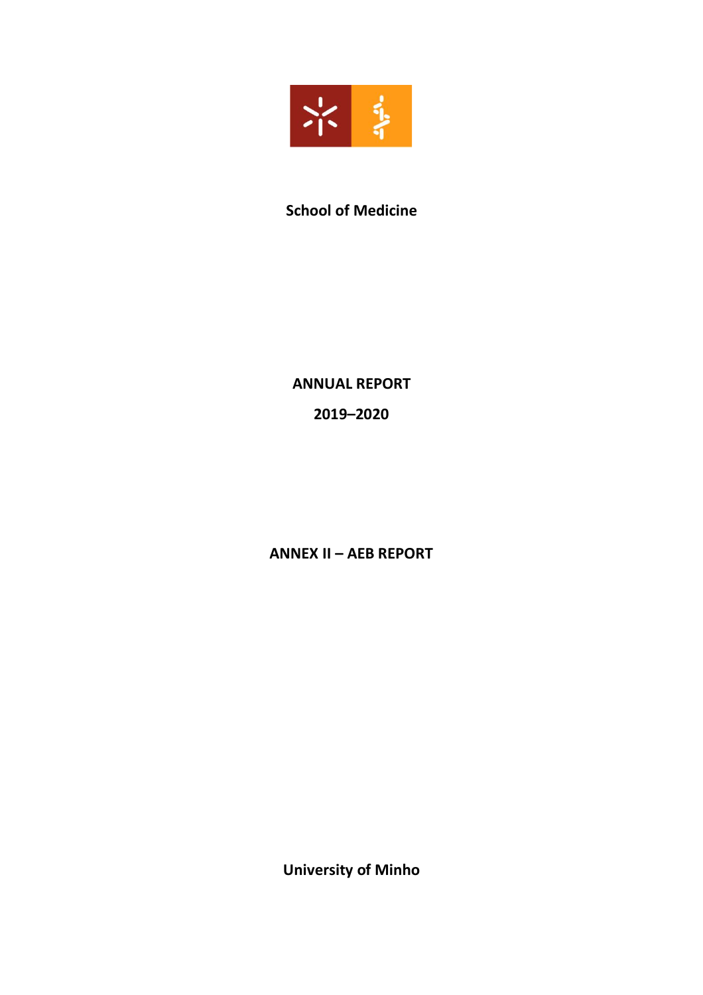

# **School of Medicine**

**ANNUAL REPORT 2019–2020**

**ANNEX II – AEB REPORT**

**University of Minho**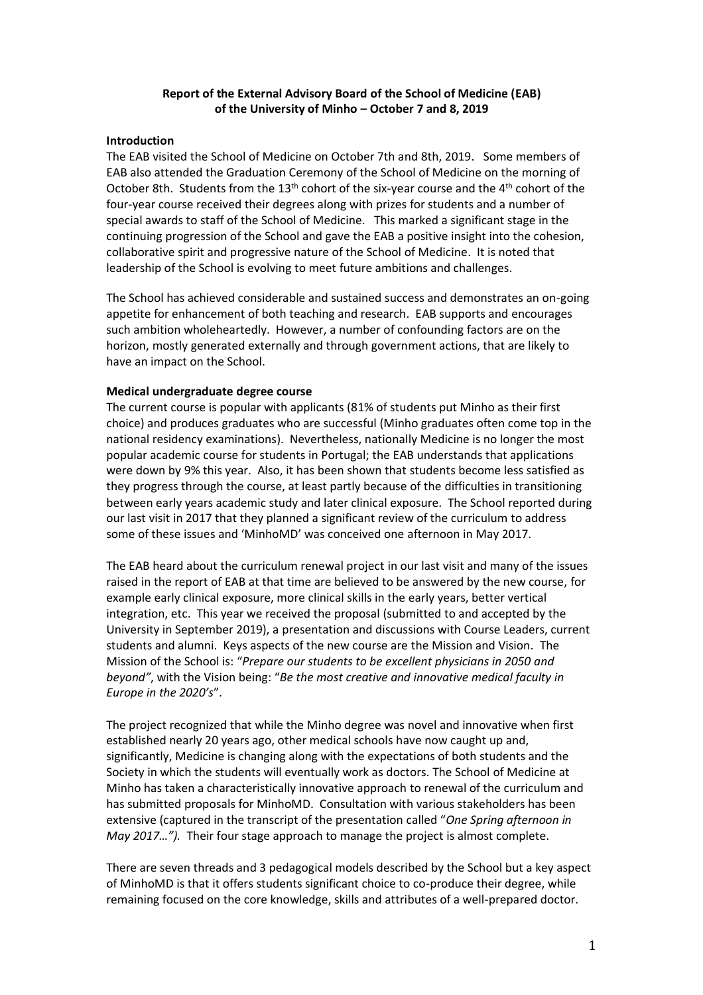## **Report of the External Advisory Board of the School of Medicine (EAB) of the University of Minho – October 7 and 8, 2019**

## **Introduction**

The EAB visited the School of Medicine on October 7th and 8th, 2019. Some members of EAB also attended the Graduation Ceremony of the School of Medicine on the morning of October 8th. Students from the 13<sup>th</sup> cohort of the six-year course and the 4<sup>th</sup> cohort of the four-year course received their degrees along with prizes for students and a number of special awards to staff of the School of Medicine. This marked a significant stage in the continuing progression of the School and gave the EAB a positive insight into the cohesion, collaborative spirit and progressive nature of the School of Medicine. It is noted that leadership of the School is evolving to meet future ambitions and challenges.

The School has achieved considerable and sustained success and demonstrates an on-going appetite for enhancement of both teaching and research. EAB supports and encourages such ambition wholeheartedly. However, a number of confounding factors are on the horizon, mostly generated externally and through government actions, that are likely to have an impact on the School.

## **Medical undergraduate degree course**

The current course is popular with applicants (81% of students put Minho as their first choice) and produces graduates who are successful (Minho graduates often come top in the national residency examinations). Nevertheless, nationally Medicine is no longer the most popular academic course for students in Portugal; the EAB understands that applications were down by 9% this year. Also, it has been shown that students become less satisfied as they progress through the course, at least partly because of the difficulties in transitioning between early years academic study and later clinical exposure. The School reported during our last visit in 2017 that they planned a significant review of the curriculum to address some of these issues and 'MinhoMD' was conceived one afternoon in May 2017.

The EAB heard about the curriculum renewal project in our last visit and many of the issues raised in the report of EAB at that time are believed to be answered by the new course, for example early clinical exposure, more clinical skills in the early years, better vertical integration, etc. This year we received the proposal (submitted to and accepted by the University in September 2019), a presentation and discussions with Course Leaders, current students and alumni. Keys aspects of the new course are the Mission and Vision. The Mission of the School is: "Prepare our students to be excellent physicians in 2050 and *beyond"*, with the Vision being: "Be the most creative and innovative medical faculty in *Europe in the 2020's"*.

The project recognized that while the Minho degree was novel and innovative when first established nearly 20 years ago, other medical schools have now caught up and, significantly, Medicine is changing along with the expectations of both students and the Society in which the students will eventually work as doctors. The School of Medicine at Minho has taken a characteristically innovative approach to renewal of the curriculum and has submitted proposals for MinhoMD. Consultation with various stakeholders has been extensive (captured in the transcript of the presentation called "One Spring afternoon in *May 2017..."*). Their four stage approach to manage the project is almost complete.

There are seven threads and 3 pedagogical models described by the School but a key aspect of MinhoMD is that it offers students significant choice to co-produce their degree, while remaining focused on the core knowledge, skills and attributes of a well-prepared doctor.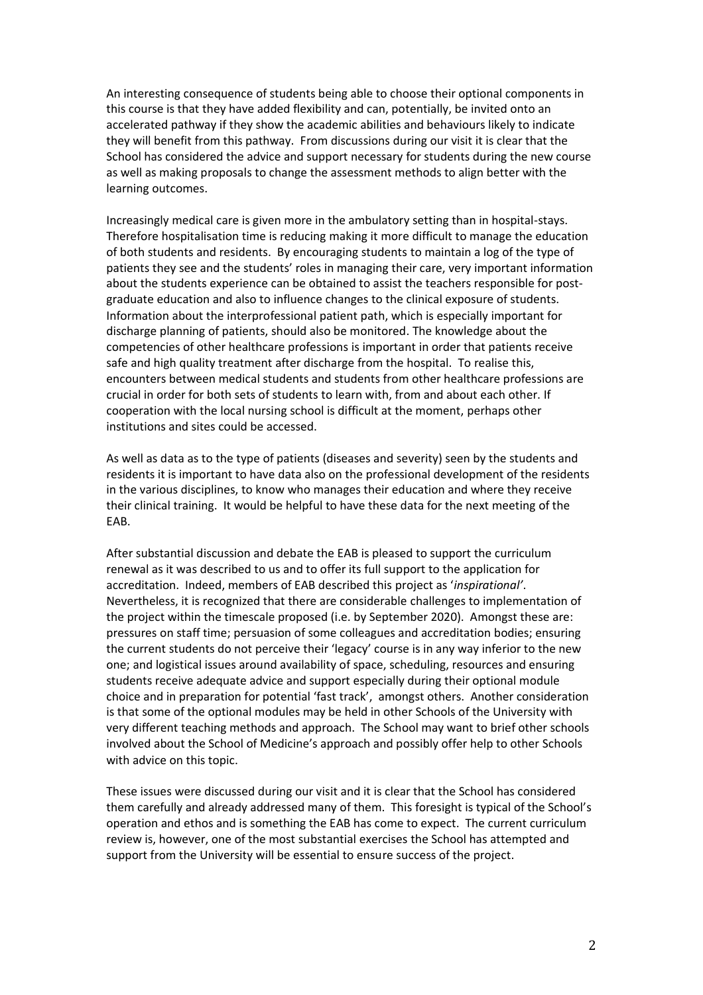An interesting consequence of students being able to choose their optional components in this course is that they have added flexibility and can, potentially, be invited onto an accelerated pathway if they show the academic abilities and behaviours likely to indicate they will benefit from this pathway. From discussions during our visit it is clear that the School has considered the advice and support necessary for students during the new course as well as making proposals to change the assessment methods to align better with the learning outcomes.

Increasingly medical care is given more in the ambulatory setting than in hospital-stays. Therefore hospitalisation time is reducing making it more difficult to manage the education of both students and residents. By encouraging students to maintain a log of the type of patients they see and the students' roles in managing their care, very important information about the students experience can be obtained to assist the teachers responsible for postgraduate education and also to influence changes to the clinical exposure of students. Information about the interprofessional patient path, which is especially important for discharge planning of patients, should also be monitored. The knowledge about the competencies of other healthcare professions is important in order that patients receive safe and high quality treatment after discharge from the hospital. To realise this, encounters between medical students and students from other healthcare professions are crucial in order for both sets of students to learn with, from and about each other. If cooperation with the local nursing school is difficult at the moment, perhaps other institutions and sites could be accessed.

As well as data as to the type of patients (diseases and severity) seen by the students and residents it is important to have data also on the professional development of the residents in the various disciplines, to know who manages their education and where they receive their clinical training. It would be helpful to have these data for the next meeting of the EAB.

After substantial discussion and debate the EAB is pleased to support the curriculum renewal as it was described to us and to offer its full support to the application for accreditation. Indeed, members of EAB described this project as 'inspirational'. Nevertheless, it is recognized that there are considerable challenges to implementation of the project within the timescale proposed (i.e. by September 2020). Amongst these are: pressures on staff time; persuasion of some colleagues and accreditation bodies; ensuring the current students do not perceive their 'legacy' course is in any way inferior to the new one; and logistical issues around availability of space, scheduling, resources and ensuring students receive adequate advice and support especially during their optional module choice and in preparation for potential 'fast track', amongst others. Another consideration is that some of the optional modules may be held in other Schools of the University with very different teaching methods and approach. The School may want to brief other schools involved about the School of Medicine's approach and possibly offer help to other Schools with advice on this topic.

These issues were discussed during our visit and it is clear that the School has considered them carefully and already addressed many of them. This foresight is typical of the School's operation and ethos and is something the EAB has come to expect. The current curriculum review is, however, one of the most substantial exercises the School has attempted and support from the University will be essential to ensure success of the project.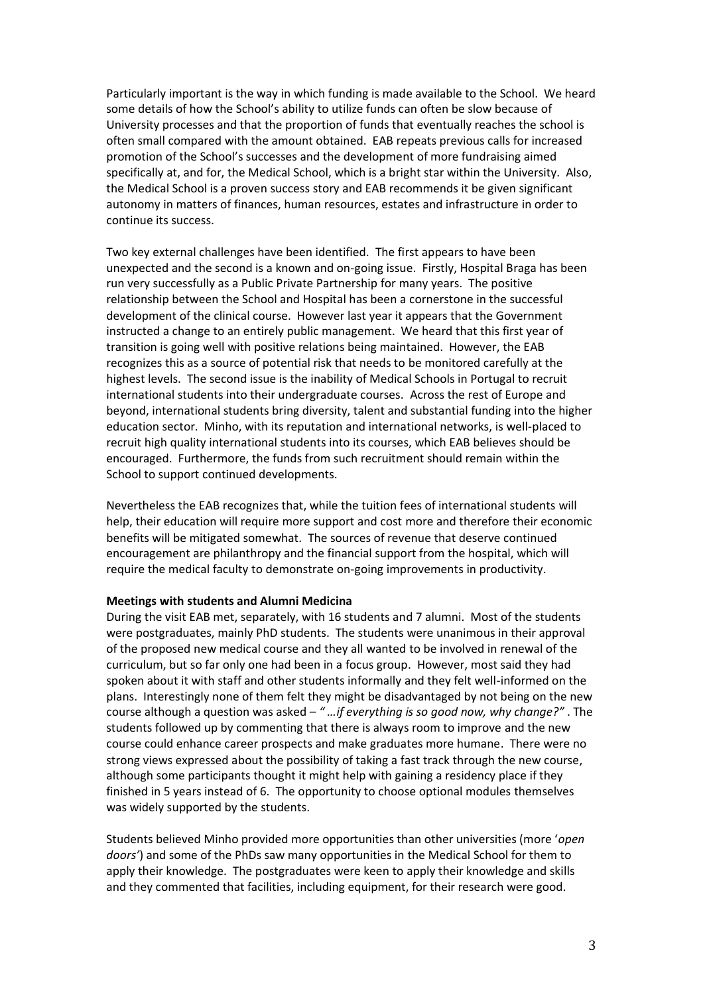Particularly important is the way in which funding is made available to the School. We heard some details of how the School's ability to utilize funds can often be slow because of University processes and that the proportion of funds that eventually reaches the school is often small compared with the amount obtained. EAB repeats previous calls for increased promotion of the School's successes and the development of more fundraising aimed specifically at, and for, the Medical School, which is a bright star within the University. Also, the Medical School is a proven success story and EAB recommends it be given significant autonomy in matters of finances, human resources, estates and infrastructure in order to continue its success.

Two key external challenges have been identified. The first appears to have been unexpected and the second is a known and on-going issue. Firstly, Hospital Braga has been run very successfully as a Public Private Partnership for many years. The positive relationship between the School and Hospital has been a cornerstone in the successful development of the clinical course. However last year it appears that the Government instructed a change to an entirely public management. We heard that this first year of transition is going well with positive relations being maintained. However, the EAB recognizes this as a source of potential risk that needs to be monitored carefully at the highest levels. The second issue is the inability of Medical Schools in Portugal to recruit international students into their undergraduate courses. Across the rest of Europe and beyond, international students bring diversity, talent and substantial funding into the higher education sector. Minho, with its reputation and international networks, is well-placed to recruit high quality international students into its courses, which EAB believes should be encouraged. Furthermore, the funds from such recruitment should remain within the School to support continued developments.

Nevertheless the EAB recognizes that, while the tuition fees of international students will help, their education will require more support and cost more and therefore their economic benefits will be mitigated somewhat. The sources of revenue that deserve continued encouragement are philanthropy and the financial support from the hospital, which will require the medical faculty to demonstrate on-going improvements in productivity.

## **Meetings with students and Alumni Medicina**

During the visit EAB met, separately, with 16 students and 7 alumni. Most of the students were postgraduates, mainly PhD students. The students were unanimous in their approval of the proposed new medical course and they all wanted to be involved in renewal of the curriculum, but so far only one had been in a focus group. However, most said they had spoken about it with staff and other students informally and they felt well-informed on the plans. Interestingly none of them felt they might be disadvantaged by not being on the new course although a question was asked – "...if everything is so good now, why change?". The students followed up by commenting that there is always room to improve and the new course could enhance career prospects and make graduates more humane. There were no strong views expressed about the possibility of taking a fast track through the new course, although some participants thought it might help with gaining a residency place if they finished in 5 years instead of 6. The opportunity to choose optional modules themselves was widely supported by the students.

Students believed Minho provided more opportunities than other universities (more 'open *doors͛*) and some of the PhDs saw many opportunities in the Medical School for them to apply their knowledge. The postgraduates were keen to apply their knowledge and skills and they commented that facilities, including equipment, for their research were good.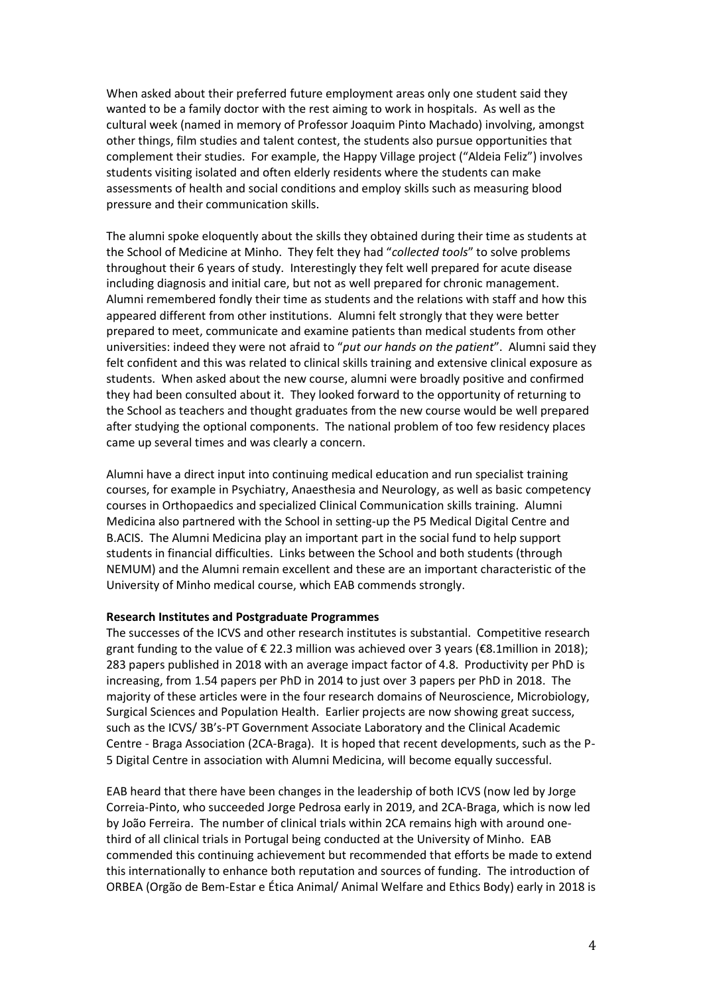When asked about their preferred future employment areas only one student said they wanted to be a family doctor with the rest aiming to work in hospitals. As well as the cultural week (named in memory of Professor Joaquim Pinto Machado) involving, amongst other things, film studies and talent contest, the students also pursue opportunities that complement their studies. For example, the Happy Village project ("Aldeia Feliz") involves students visiting isolated and often elderly residents where the students can make assessments of health and social conditions and employ skills such as measuring blood pressure and their communication skills.

The alumni spoke eloquently about the skills they obtained during their time as students at the School of Medicine at Minho. They felt they had "collected tools" to solve problems throughout their 6 years of study. Interestingly they felt well prepared for acute disease including diagnosis and initial care, but not as well prepared for chronic management. Alumni remembered fondly their time as students and the relations with staff and how this appeared different from other institutions. Alumni felt strongly that they were better prepared to meet, communicate and examine patients than medical students from other universities: indeed they were not afraid to "*put our hands on the patient*". Alumni said they felt confident and this was related to clinical skills training and extensive clinical exposure as students. When asked about the new course, alumni were broadly positive and confirmed they had been consulted about it. They looked forward to the opportunity of returning to the School as teachers and thought graduates from the new course would be well prepared after studying the optional components. The national problem of too few residency places came up several times and was clearly a concern.

Alumni have a direct input into continuing medical education and run specialist training courses, for example in Psychiatry, Anaesthesia and Neurology, as well as basic competency courses in Orthopaedics and specialized Clinical Communication skills training. Alumni Medicina also partnered with the School in setting-up the P5 Medical Digital Centre and B.ACIS. The Alumni Medicina play an important part in the social fund to help support students in financial difficulties. Links between the School and both students (through NEMUM) and the Alumni remain excellent and these are an important characteristic of the University of Minho medical course, which EAB commends strongly.

#### **Research Institutes and Postgraduate Programmes**

The successes of the ICVS and other research institutes is substantial. Competitive research grant funding to the value of € 22.3 million was achieved over 3 years (€8.1 million in 2018); 283 papers published in 2018 with an average impact factor of 4.8. Productivity per PhD is increasing, from 1.54 papers per PhD in 2014 to just over 3 papers per PhD in 2018. The majority of these articles were in the four research domains of Neuroscience, Microbiology, Surgical Sciences and Population Health. Earlier projects are now showing great success, such as the ICVS/ 3B's-PT Government Associate Laboratory and the Clinical Academic Centre - Braga Association (2CA-Braga). It is hoped that recent developments, such as the P-5 Digital Centre in association with Alumni Medicina, will become equally successful.

EAB heard that there have been changes in the leadership of both ICVS (now led by Jorge Correia-Pinto, who succeeded Jorge Pedrosa early in 2019, and 2CA-Braga, which is now led by João Ferreira. The number of clinical trials within 2CA remains high with around onethird of all clinical trials in Portugal being conducted at the University of Minho. EAB commended this continuing achievement but recommended that efforts be made to extend this internationally to enhance both reputation and sources of funding. The introduction of ORBEA (Orgão de Bem-Estar e Ética Animal/ Animal Welfare and Ethics Body) early in 2018 is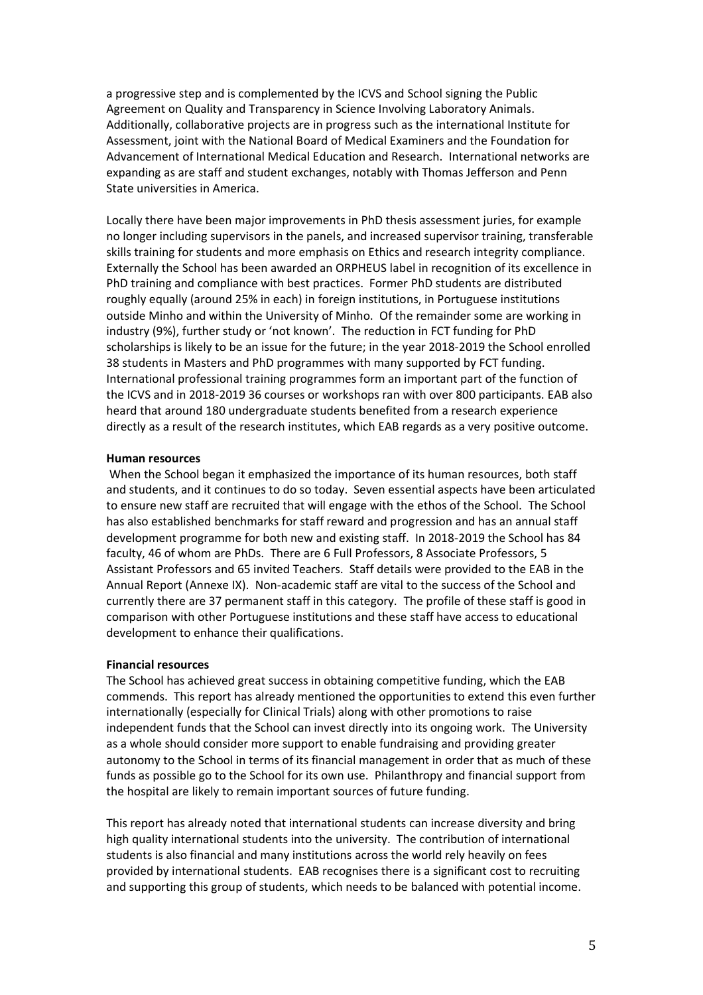a progressive step and is complemented by the ICVS and School signing the Public Agreement on Quality and Transparency in Science Involving Laboratory Animals. Additionally, collaborative projects are in progress such as the international Institute for Assessment, joint with the National Board of Medical Examiners and the Foundation for Advancement of International Medical Education and Research. International networks are expanding as are staff and student exchanges, notably with Thomas Jefferson and Penn State universities in America.

Locally there have been major improvements in PhD thesis assessment juries, for example no longer including supervisors in the panels, and increased supervisor training, transferable skills training for students and more emphasis on Ethics and research integrity compliance. Externally the School has been awarded an ORPHEUS label in recognition of its excellence in PhD training and compliance with best practices. Former PhD students are distributed roughly equally (around 25% in each) in foreign institutions, in Portuguese institutions outside Minho and within the University of Minho. Of the remainder some are working in industry (9%), further study or 'not known'. The reduction in FCT funding for PhD scholarships is likely to be an issue for the future; in the year 2018-2019 the School enrolled 38 students in Masters and PhD programmes with many supported by FCT funding. International professional training programmes form an important part of the function of the ICVS and in 2018-2019 36 courses or workshops ran with over 800 participants. EAB also heard that around 180 undergraduate students benefited from a research experience directly as a result of the research institutes, which EAB regards as a very positive outcome.

#### **Human resources**

When the School began it emphasized the importance of its human resources, both staff and students, and it continues to do so today. Seven essential aspects have been articulated to ensure new staff are recruited that will engage with the ethos of the School. The School has also established benchmarks for staff reward and progression and has an annual staff development programme for both new and existing staff. In 2018-2019 the School has 84 faculty, 46 of whom are PhDs. There are 6 Full Professors, 8 Associate Professors, 5 Assistant Professors and 65 invited Teachers. Staff details were provided to the EAB in the Annual Report (Annexe IX). Non-academic staff are vital to the success of the School and currently there are 37 permanent staff in this category. The profile of these staff is good in comparison with other Portuguese institutions and these staff have access to educational development to enhance their qualifications.

#### **Financial resources**

The School has achieved great success in obtaining competitive funding, which the EAB commends. This report has already mentioned the opportunities to extend this even further internationally (especially for Clinical Trials) along with other promotions to raise independent funds that the School can invest directly into its ongoing work. The University as a whole should consider more support to enable fundraising and providing greater autonomy to the School in terms of its financial management in order that as much of these funds as possible go to the School for its own use. Philanthropy and financial support from the hospital are likely to remain important sources of future funding.

This report has already noted that international students can increase diversity and bring high quality international students into the university. The contribution of international students is also financial and many institutions across the world rely heavily on fees provided by international students. EAB recognises there is a significant cost to recruiting and supporting this group of students, which needs to be balanced with potential income.